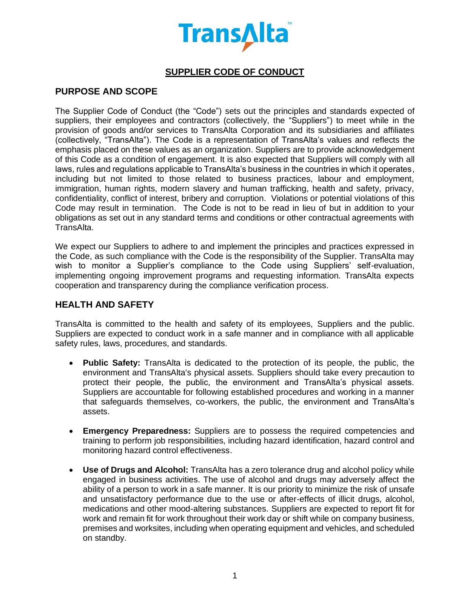

# **SUPPLIER CODE OF CONDUCT**

# **PURPOSE AND SCOPE**

The Supplier Code of Conduct (the "Code") sets out the principles and standards expected of suppliers, their employees and contractors (collectively, the "Suppliers") to meet while in the provision of goods and/or services to TransAlta Corporation and its subsidiaries and affiliates (collectively, "TransAlta"). The Code is a representation of TransAlta's values and reflects the emphasis placed on these values as an organization. Suppliers are to provide acknowledgement of this Code as a condition of engagement. It is also expected that Suppliers will comply with all laws, rules and regulations applicable to TransAlta's business in the countries in which it operates, including but not limited to those related to business practices, labour and employment, immigration, human rights, modern slavery and human trafficking, health and safety, privacy, confidentiality, conflict of interest, bribery and corruption. Violations or potential violations of this Code may result in termination. The Code is not to be read in lieu of but in addition to your obligations as set out in any standard terms and conditions or other contractual agreements with TransAlta.

We expect our Suppliers to adhere to and implement the principles and practices expressed in the Code, as such compliance with the Code is the responsibility of the Supplier. TransAlta may wish to monitor a Supplier's compliance to the Code using Suppliers' self-evaluation, implementing ongoing improvement programs and requesting information. TransAlta expects cooperation and transparency during the compliance verification process.

#### **HEALTH AND SAFETY**

TransAlta is committed to the health and safety of its employees, Suppliers and the public. Suppliers are expected to conduct work in a safe manner and in compliance with all applicable safety rules, laws, procedures, and standards.

- **Public Safety:** TransAlta is dedicated to the protection of its people, the public, the environment and TransAlta's physical assets. Suppliers should take every precaution to protect their people, the public, the environment and TransAlta's physical assets. Suppliers are accountable for following established procedures and working in a manner that safeguards themselves, co-workers, the public, the environment and TransAlta's assets.
- **Emergency Preparedness:** Suppliers are to possess the required competencies and training to perform job responsibilities, including hazard identification, hazard control and monitoring hazard control effectiveness.
- **Use of Drugs and Alcohol:** TransAlta has a zero tolerance drug and alcohol policy while engaged in business activities. The use of alcohol and drugs may adversely affect the ability of a person to work in a safe manner. It is our priority to minimize the risk of unsafe and unsatisfactory performance due to the use or after-effects of illicit drugs, alcohol, medications and other mood-altering substances. Suppliers are expected to report fit for work and remain fit for work throughout their work day or shift while on company business, premises and worksites, including when operating equipment and vehicles, and scheduled on standby.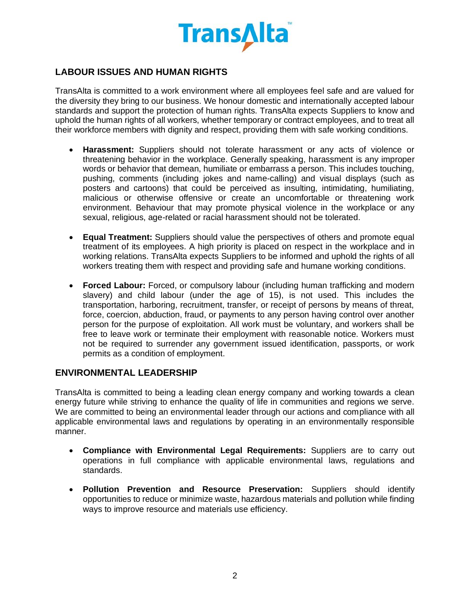

# **LABOUR ISSUES AND HUMAN RIGHTS**

TransAlta is committed to a work environment where all employees feel safe and are valued for the diversity they bring to our business. We honour domestic and internationally accepted labour standards and support the protection of human rights. TransAlta expects Suppliers to know and uphold the human rights of all workers, whether temporary or contract employees, and to treat all their workforce members with dignity and respect, providing them with safe working conditions.

- **Harassment:** Suppliers should not tolerate harassment or any acts of violence or threatening behavior in the workplace. Generally speaking, harassment is any improper words or behavior that demean, humiliate or embarrass a person. This includes touching, pushing, comments (including jokes and name-calling) and visual displays (such as posters and cartoons) that could be perceived as insulting, intimidating, humiliating, malicious or otherwise offensive or create an uncomfortable or threatening work environment. Behaviour that may promote physical violence in the workplace or any sexual, religious, age-related or racial harassment should not be tolerated.
- **Equal Treatment:** Suppliers should value the perspectives of others and promote equal treatment of its employees. A high priority is placed on respect in the workplace and in working relations. TransAlta expects Suppliers to be informed and uphold the rights of all workers treating them with respect and providing safe and humane working conditions.
- **Forced Labour:** Forced, or compulsory labour (including human trafficking and modern slavery) and child labour (under the age of 15), is not used. This includes the transportation, harboring, recruitment, transfer, or receipt of persons by means of threat, force, coercion, abduction, fraud, or payments to any person having control over another person for the purpose of exploitation. All work must be voluntary, and workers shall be free to leave work or terminate their employment with reasonable notice. Workers must not be required to surrender any government issued identification, passports, or work permits as a condition of employment.

#### **ENVIRONMENTAL LEADERSHIP**

TransAlta is committed to being a leading clean energy company and working towards a clean energy future while striving to enhance the quality of life in communities and regions we serve. We are committed to being an environmental leader through our actions and compliance with all applicable environmental laws and regulations by operating in an environmentally responsible manner.

- **Compliance with Environmental Legal Requirements:** Suppliers are to carry out operations in full compliance with applicable environmental laws, regulations and standards.
- **Pollution Prevention and Resource Preservation:** Suppliers should identify opportunities to reduce or minimize waste, hazardous materials and pollution while finding ways to improve resource and materials use efficiency.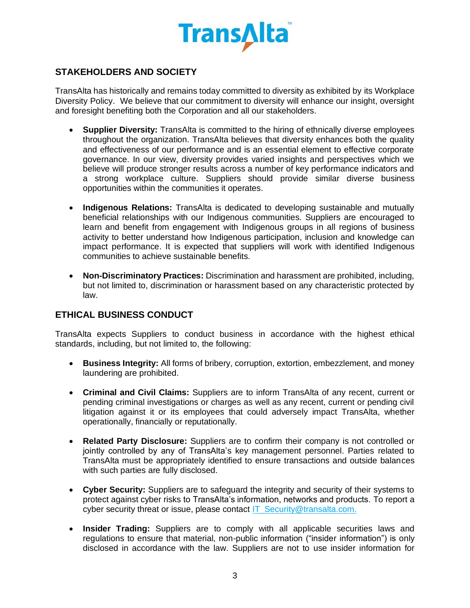

# **STAKEHOLDERS AND SOCIETY**

TransAlta has historically and remains today committed to diversity as exhibited by its Workplace Diversity Policy. We believe that our commitment to diversity will enhance our insight, oversight and foresight benefiting both the Corporation and all our stakeholders.

- **Supplier Diversity:** TransAlta is committed to the hiring of ethnically diverse employees throughout the organization. TransAlta believes that diversity enhances both the quality and effectiveness of our performance and is an essential element to effective corporate governance. In our view, diversity provides varied insights and perspectives which we believe will produce stronger results across a number of key performance indicators and a strong workplace culture. Suppliers should provide similar diverse business opportunities within the communities it operates.
- **Indigenous Relations:** TransAlta is dedicated to developing sustainable and mutually beneficial relationships with our Indigenous communities. Suppliers are encouraged to learn and benefit from engagement with Indigenous groups in all regions of business activity to better understand how Indigenous participation, inclusion and knowledge can impact performance. It is expected that suppliers will work with identified Indigenous communities to achieve sustainable benefits.
- **Non-Discriminatory Practices:** Discrimination and harassment are prohibited, including, but not limited to, discrimination or harassment based on any characteristic protected by law.

### **ETHICAL BUSINESS CONDUCT**

TransAlta expects Suppliers to conduct business in accordance with the highest ethical standards, including, but not limited to, the following:

- **Business Integrity:** All forms of bribery, corruption, extortion, embezzlement, and money laundering are prohibited.
- **Criminal and Civil Claims:** Suppliers are to inform TransAlta of any recent, current or pending criminal investigations or charges as well as any recent, current or pending civil litigation against it or its employees that could adversely impact TransAlta, whether operationally, financially or reputationally.
- **Related Party Disclosure:** Suppliers are to confirm their company is not controlled or jointly controlled by any of TransAlta's key management personnel. Parties related to TransAlta must be appropriately identified to ensure transactions and outside balances with such parties are fully disclosed.
- **Cyber Security:** Suppliers are to safeguard the integrity and security of their systems to protect against cyber risks to TransAlta's information, networks and products. To report a cyber security threat or issue, please contact [IT\\_Security@transalta.com.](mailto:IT_Security@transalta.com)
- **Insider Trading:** Suppliers are to comply with all applicable securities laws and regulations to ensure that material, non-public information ("insider information") is only disclosed in accordance with the law. Suppliers are not to use insider information for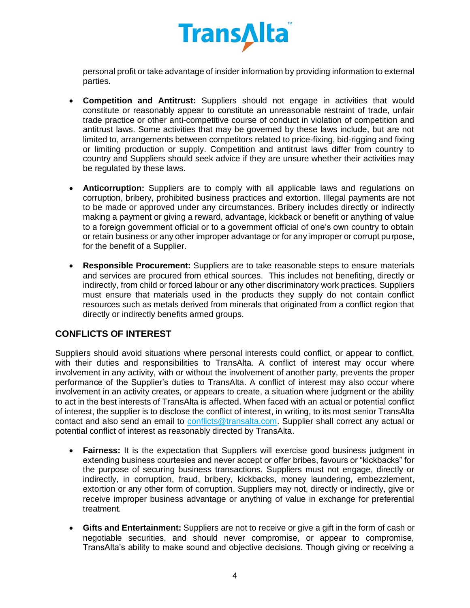

personal profit or take advantage of insider information by providing information to external parties.

- **Competition and Antitrust:** Suppliers should not engage in activities that would constitute or reasonably appear to constitute an unreasonable restraint of trade, unfair trade practice or other anti-competitive course of conduct in violation of competition and antitrust laws. Some activities that may be governed by these laws include, but are not limited to, arrangements between competitors related to price-fixing, bid-rigging and fixing or limiting production or supply. Competition and antitrust laws differ from country to country and Suppliers should seek advice if they are unsure whether their activities may be regulated by these laws.
- **Anticorruption:** Suppliers are to comply with all applicable laws and regulations on corruption, bribery, prohibited business practices and extortion. Illegal payments are not to be made or approved under any circumstances. Bribery includes directly or indirectly making a payment or giving a reward, advantage, kickback or benefit or anything of value to a foreign government official or to a government official of one's own country to obtain or retain business or any other improper advantage or for any improper or corrupt purpose, for the benefit of a Supplier.
- **Responsible Procurement:** Suppliers are to take reasonable steps to ensure materials and services are procured from ethical sources. This includes not benefiting, directly or indirectly, from child or forced labour or any other discriminatory work practices. Suppliers must ensure that materials used in the products they supply do not contain conflict resources such as metals derived from minerals that originated from a conflict region that directly or indirectly benefits armed groups.

### **CONFLICTS OF INTEREST**

Suppliers should avoid situations where personal interests could conflict, or appear to conflict, with their duties and responsibilities to TransAlta. A conflict of interest may occur where involvement in any activity, with or without the involvement of another party, prevents the proper performance of the Supplier's duties to TransAlta. A conflict of interest may also occur where involvement in an activity creates, or appears to create, a situation where judgment or the ability to act in the best interests of TransAlta is affected. When faced with an actual or potential conflict of interest, the supplier is to disclose the conflict of interest, in writing, to its most senior TransAlta contact and also send an email to [conflicts@transalta.com.](mailto:conflicts@transalta.com) Supplier shall correct any actual or potential conflict of interest as reasonably directed by TransAlta.

- **Fairness:** It is the expectation that Suppliers will exercise good business judgment in extending business courtesies and never accept or offer bribes, favours or "kickbacks" for the purpose of securing business transactions. Suppliers must not engage, directly or indirectly, in corruption, fraud, bribery, kickbacks, money laundering, embezzlement, extortion or any other form of corruption. Suppliers may not, directly or indirectly, give or receive improper business advantage or anything of value in exchange for preferential treatment.
- **Gifts and Entertainment:** Suppliers are not to receive or give a gift in the form of cash or negotiable securities, and should never compromise, or appear to compromise, TransAlta's ability to make sound and objective decisions. Though giving or receiving a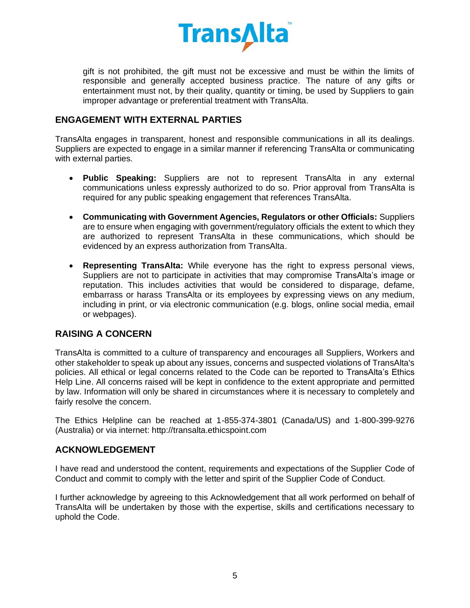

gift is not prohibited, the gift must not be excessive and must be within the limits of responsible and generally accepted business practice. The nature of any gifts or entertainment must not, by their quality, quantity or timing, be used by Suppliers to gain improper advantage or preferential treatment with TransAlta.

#### **ENGAGEMENT WITH EXTERNAL PARTIES**

TransAlta engages in transparent, honest and responsible communications in all its dealings. Suppliers are expected to engage in a similar manner if referencing TransAlta or communicating with external parties.

- **Public Speaking:** Suppliers are not to represent TransAlta in any external communications unless expressly authorized to do so. Prior approval from TransAlta is required for any public speaking engagement that references TransAlta.
- **Communicating with Government Agencies, Regulators or other Officials:** Suppliers are to ensure when engaging with government/regulatory officials the extent to which they are authorized to represent TransAlta in these communications, which should be evidenced by an express authorization from TransAlta.
- **Representing TransAlta:** While everyone has the right to express personal views, Suppliers are not to participate in activities that may compromise TransAlta's image or reputation. This includes activities that would be considered to disparage, defame, embarrass or harass TransAlta or its employees by expressing views on any medium, including in print, or via electronic communication (e.g. blogs, online social media, email or webpages).

### **RAISING A CONCERN**

TransAlta is committed to a culture of transparency and encourages all Suppliers, Workers and other stakeholder to speak up about any issues, concerns and suspected violations of TransAlta's policies. All ethical or legal concerns related to the Code can be reported to TransAlta's Ethics Help Line. All concerns raised will be kept in confidence to the extent appropriate and permitted by law. Information will only be shared in circumstances where it is necessary to completely and fairly resolve the concern.

The Ethics Helpline can be reached at 1-855-374-3801 (Canada/US) and 1-800-399-9276 (Australia) or via internet: http://transalta.ethicspoint.com

#### **ACKNOWLEDGEMENT**

I have read and understood the content, requirements and expectations of the Supplier Code of Conduct and commit to comply with the letter and spirit of the Supplier Code of Conduct.

I further acknowledge by agreeing to this Acknowledgement that all work performed on behalf of TransAlta will be undertaken by those with the expertise, skills and certifications necessary to uphold the Code.